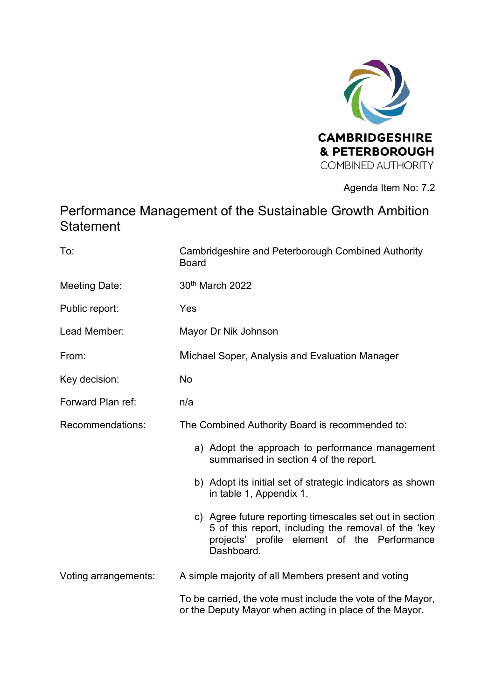

## Agenda Item No: 7.2

# Performance Management of the Sustainable Growth Ambition **Statement**

| To:                  | <b>Cambridgeshire and Peterborough Combined Authority</b><br><b>Board</b>                                                                                                    |  |  |
|----------------------|------------------------------------------------------------------------------------------------------------------------------------------------------------------------------|--|--|
| <b>Meeting Date:</b> | 30th March 2022                                                                                                                                                              |  |  |
| Public report:       | Yes                                                                                                                                                                          |  |  |
| Lead Member:         | Mayor Dr Nik Johnson                                                                                                                                                         |  |  |
| From:                | Michael Soper, Analysis and Evaluation Manager                                                                                                                               |  |  |
| Key decision:        | No                                                                                                                                                                           |  |  |
| Forward Plan ref:    | n/a                                                                                                                                                                          |  |  |
| Recommendations:     | The Combined Authority Board is recommended to:                                                                                                                              |  |  |
|                      | a) Adopt the approach to performance management<br>summarised in section 4 of the report.                                                                                    |  |  |
|                      | b) Adopt its initial set of strategic indicators as shown<br>in table 1, Appendix 1.                                                                                         |  |  |
|                      | c) Agree future reporting timescales set out in section<br>5 of this report, including the removal of the 'key<br>projects' profile element of the Performance<br>Dashboard. |  |  |
| Voting arrangements: | A simple majority of all Members present and voting                                                                                                                          |  |  |
|                      | To be carried, the vote must include the vote of the Mayor,<br>or the Deputy Mayor when acting in place of the Mayor.                                                        |  |  |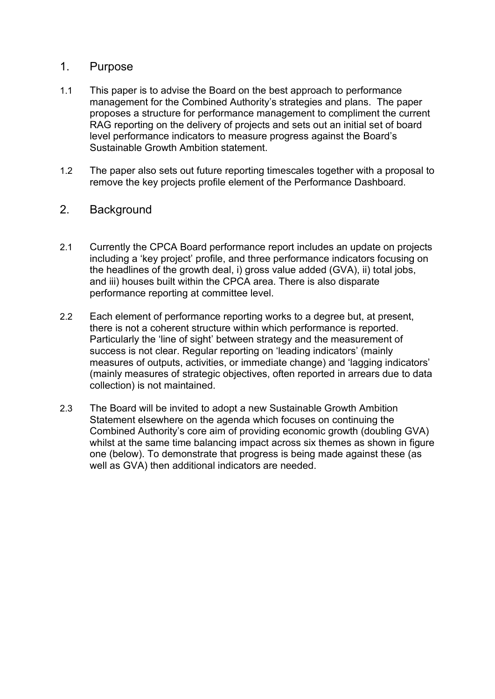### 1. Purpose

- 1.1 This paper is to advise the Board on the best approach to performance management for the Combined Authority's strategies and plans. The paper proposes a structure for performance management to compliment the current RAG reporting on the delivery of projects and sets out an initial set of board level performance indicators to measure progress against the Board's Sustainable Growth Ambition statement.
- 1.2 The paper also sets out future reporting timescales together with a proposal to remove the key projects profile element of the Performance Dashboard.

## 2. Background

- 2.1 Currently the CPCA Board performance report includes an update on projects including a 'key project' profile, and three performance indicators focusing on the headlines of the growth deal, i) gross value added (GVA), ii) total jobs, and iii) houses built within the CPCA area. There is also disparate performance reporting at committee level.
- 2.2 Each element of performance reporting works to a degree but, at present, there is not a coherent structure within which performance is reported. Particularly the 'line of sight' between strategy and the measurement of success is not clear. Regular reporting on 'leading indicators' (mainly measures of outputs, activities, or immediate change) and 'lagging indicators' (mainly measures of strategic objectives, often reported in arrears due to data collection) is not maintained.
- 2.3 The Board will be invited to adopt a new Sustainable Growth Ambition Statement elsewhere on the agenda which focuses on continuing the Combined Authority's core aim of providing economic growth (doubling GVA) whilst at the same time balancing impact across six themes as shown in figure one (below). To demonstrate that progress is being made against these (as well as GVA) then additional indicators are needed.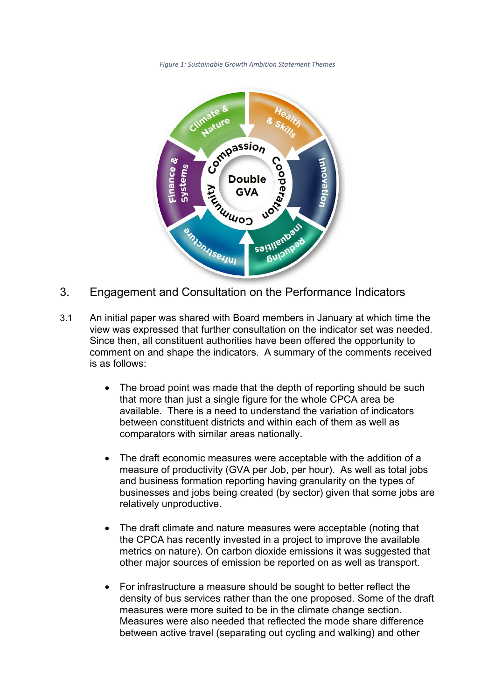*Figure 1: Sustainable Growth Ambition Statement Themes* 



- 3. Engagement and Consultation on the Performance Indicators
- 3.1 An initial paper was shared with Board members in January at which time the view was expressed that further consultation on the indicator set was needed. Since then, all constituent authorities have been offered the opportunity to comment on and shape the indicators. A summary of the comments received is as follows:
	- The broad point was made that the depth of reporting should be such that more than just a single figure for the whole CPCA area be available. There is a need to understand the variation of indicators between constituent districts and within each of them as well as comparators with similar areas nationally.
	- The draft economic measures were acceptable with the addition of a measure of productivity (GVA per Job, per hour). As well as total jobs and business formation reporting having granularity on the types of businesses and jobs being created (by sector) given that some jobs are relatively unproductive.
	- The draft climate and nature measures were acceptable (noting that the CPCA has recently invested in a project to improve the available metrics on nature). On carbon dioxide emissions it was suggested that other major sources of emission be reported on as well as transport.
	- For infrastructure a measure should be sought to better reflect the density of bus services rather than the one proposed. Some of the draft measures were more suited to be in the climate change section. Measures were also needed that reflected the mode share difference between active travel (separating out cycling and walking) and other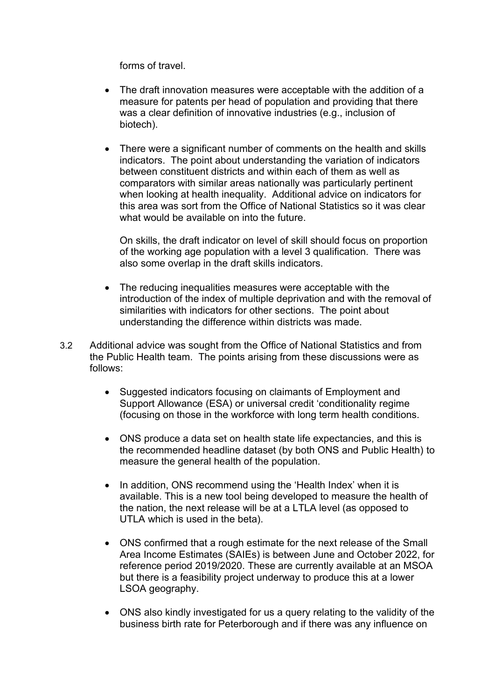forms of travel.

- The draft innovation measures were acceptable with the addition of a measure for patents per head of population and providing that there was a clear definition of innovative industries (e.g., inclusion of biotech).
- There were a significant number of comments on the health and skills indicators. The point about understanding the variation of indicators between constituent districts and within each of them as well as comparators with similar areas nationally was particularly pertinent when looking at health inequality. Additional advice on indicators for this area was sort from the Office of National Statistics so it was clear what would be available on into the future.

On skills, the draft indicator on level of skill should focus on proportion of the working age population with a level 3 qualification. There was also some overlap in the draft skills indicators.

- The reducing inequalities measures were acceptable with the introduction of the index of multiple deprivation and with the removal of similarities with indicators for other sections. The point about understanding the difference within districts was made.
- 3.2 Additional advice was sought from the Office of National Statistics and from the Public Health team. The points arising from these discussions were as follows:
	- Suggested indicators focusing on claimants of Employment and Support Allowance (ESA) or universal credit 'conditionality regime (focusing on those in the workforce with long term health conditions.
	- ONS produce a data set on health state life expectancies, and this is the recommended headline dataset (by both ONS and Public Health) to measure the general health of the population.
	- In addition, ONS recommend using the 'Health Index' when it is available. This is a new tool being developed to measure the health of the nation, the next release will be at a LTLA level (as opposed to UTLA which is used in the beta).
	- ONS confirmed that a rough estimate for the next release of the Small Area Income Estimates (SAIEs) is between June and October 2022, for reference period 2019/2020. These are currently available at an MSOA but there is a feasibility project underway to produce this at a lower LSOA geography.
	- ONS also kindly investigated for us a query relating to the validity of the business birth rate for Peterborough and if there was any influence on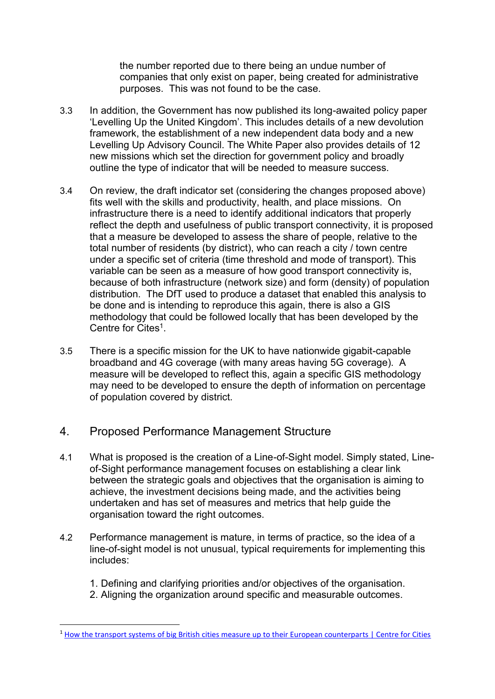the number reported due to there being an undue number of companies that only exist on paper, being created for administrative purposes. This was not found to be the case.

- 3.3 In addition, the Government has now published its long-awaited policy paper 'Levelling Up the United Kingdom'. This includes details of a new devolution framework, the establishment of a new independent data body and a new Levelling Up Advisory Council. The White Paper also provides details of [12](https://assets.publishing.service.gov.uk/government/uploads/system/uploads/attachment_data/file/1052062/LU_white_paper_tech_annex.pdf)  [new missions](https://assets.publishing.service.gov.uk/government/uploads/system/uploads/attachment_data/file/1052062/LU_white_paper_tech_annex.pdf) which set the direction for government policy and broadly outline the type of indicator that will be needed to measure success.
- 3.4 On review, the draft indicator set (considering the changes proposed above) fits well with the skills and productivity, health, and place missions. On infrastructure there is a need to identify additional indicators that properly reflect the depth and usefulness of public transport connectivity, it is proposed that a measure be developed to assess the share of people, relative to the total number of residents (by district), who can reach a city / town centre under a specific set of criteria (time threshold and mode of transport). This variable can be seen as a measure of how good transport connectivity is, because of both infrastructure (network size) and form (density) of population distribution. The DfT used to produce a dataset that enabled this analysis to be done and is intending to reproduce this again, there is also a GIS methodology that could be followed locally that has been developed by the Centre for Cites<sup>1</sup>.
- 3.5 There is a specific mission for the UK to have nationwide gigabit-capable broadband and 4G coverage (with many areas having 5G coverage). A measure will be developed to reflect this, again a specific GIS methodology may need to be developed to ensure the depth of information on percentage of population covered by district.

## 4. Proposed Performance Management Structure

- 4.1 What is proposed is the creation of a Line-of-Sight model. Simply stated, Lineof-Sight performance management focuses on establishing a clear link between the strategic goals and objectives that the organisation is aiming to achieve, the investment decisions being made, and the activities being undertaken and has set of measures and metrics that help guide the organisation toward the right outcomes.
- 4.2 Performance management is mature, in terms of practice, so the idea of a line-of-sight model is not unusual, typical requirements for implementing this includes:
	- 1. Defining and clarifying priorities and/or objectives of the organisation.
	- 2. Aligning the organization around specific and measurable outcomes.

<sup>&</sup>lt;sup>1</sup> [How the transport systems of big British cities measure up to their European counterparts | Centre for Cities](https://www.centreforcities.org/reader/measuring-up-comparing-public-transport-uk-europe-cities/how-transport-systems-big-british-cities-compare-european/)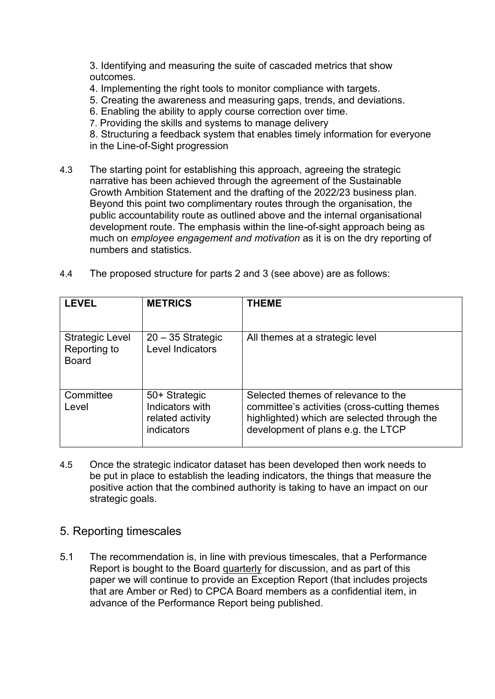3. Identifying and measuring the suite of cascaded metrics that show outcomes.

- 4. Implementing the right tools to monitor compliance with targets.
- 5. Creating the awareness and measuring gaps, trends, and deviations.
- 6. Enabling the ability to apply course correction over time.
- 7. Providing the skills and systems to manage delivery

8. Structuring a feedback system that enables timely information for everyone in the Line-of-Sight progression

- 4.3 The starting point for establishing this approach, agreeing the strategic narrative has been achieved through the agreement of the Sustainable Growth Ambition Statement and the drafting of the 2022/23 business plan. Beyond this point two complimentary routes through the organisation, the public accountability route as outlined above and the internal organisational development route. The emphasis within the line-of-sight approach being as much on *employee engagement and motivation* as it is on the dry reporting of numbers and statistics.
- 4.4 The proposed structure for parts 2 and 3 (see above) are as follows:

| <b>LEVEL</b>                                           | <b>METRICS</b>                                                     | <b>THEME</b>                                                                                                                                                             |
|--------------------------------------------------------|--------------------------------------------------------------------|--------------------------------------------------------------------------------------------------------------------------------------------------------------------------|
| <b>Strategic Level</b><br>Reporting to<br><b>Board</b> | $20 - 35$ Strategic<br>Level Indicators                            | All themes at a strategic level                                                                                                                                          |
| Committee<br>Level                                     | 50+ Strategic<br>Indicators with<br>related activity<br>indicators | Selected themes of relevance to the<br>committee's activities (cross-cutting themes<br>highlighted) which are selected through the<br>development of plans e.g. the LTCP |

- 4.5 Once the strategic indicator dataset has been developed then work needs to be put in place to establish the leading indicators, the things that measure the positive action that the combined authority is taking to have an impact on our strategic goals.
- 5. Reporting timescales
- 5.1 The recommendation is, in line with previous timescales, that a Performance Report is bought to the Board quarterly for discussion, and as part of this paper we will continue to provide an Exception Report (that includes projects that are Amber or Red) to CPCA Board members as a confidential item, in advance of the Performance Report being published.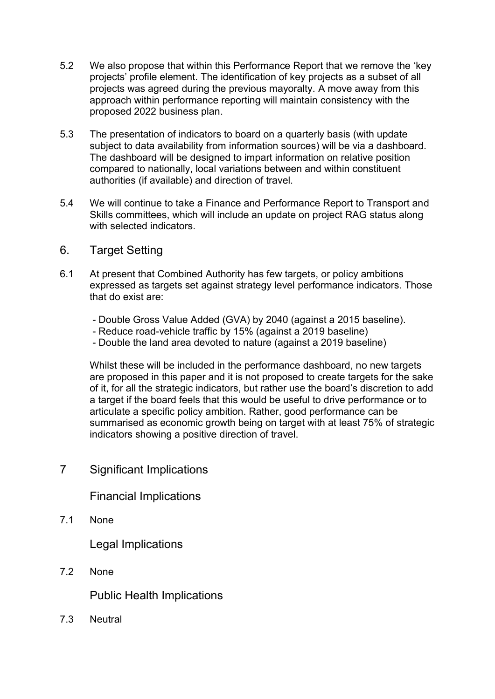- 5.2 We also propose that within this Performance Report that we remove the 'key projects' profile element. The identification of key projects as a subset of all projects was agreed during the previous mayoralty. A move away from this approach within performance reporting will maintain consistency with the proposed 2022 business plan.
- 5.3 The presentation of indicators to board on a quarterly basis (with update subject to data availability from information sources) will be via a dashboard. The dashboard will be designed to impart information on relative position compared to nationally, local variations between and within constituent authorities (if available) and direction of travel.
- 5.4 We will continue to take a Finance and Performance Report to Transport and Skills committees, which will include an update on project RAG status along with selected indicators.
- 6. Target Setting
- 6.1 At present that Combined Authority has few targets, or policy ambitions expressed as targets set against strategy level performance indicators. Those that do exist are:
	- Double Gross Value Added (GVA) by 2040 (against a 2015 baseline).
	- Reduce road-vehicle traffic by 15% (against a 2019 baseline)
	- Double the land area devoted to nature (against a 2019 baseline)

Whilst these will be included in the performance dashboard, no new targets are proposed in this paper and it is not proposed to create targets for the sake of it, for all the strategic indicators, but rather use the board's discretion to add a target if the board feels that this would be useful to drive performance or to articulate a specific policy ambition. Rather, good performance can be summarised as economic growth being on target with at least 75% of strategic indicators showing a positive direction of travel.

7 Significant Implications

Financial Implications

7.1 None

Legal Implications

7.2 None

Public Health Implications

7.3 Neutral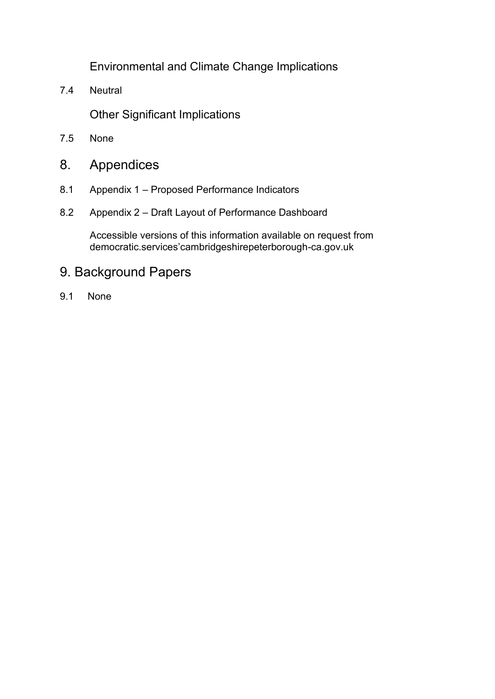Environmental and Climate Change Implications

7.4 Neutral

Other Significant Implications

- 7.5 None
- 8. Appendices
- 8.1 Appendix 1 Proposed Performance Indicators
- 8.2 Appendix 2 Draft Layout of Performance Dashboard

Accessible versions of this information available on request from democratic.services'cambridgeshirepeterborough-ca.gov.uk

# 9. Background Papers

9.1 None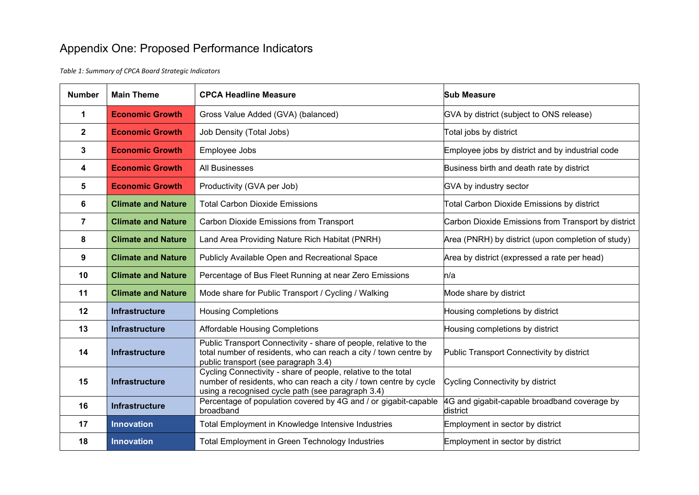# Appendix One: Proposed Performance Indicators

*Table 1: Summary of CPCA Board Strategic Indicators*

| <b>Number</b>    | <b>Main Theme</b>                                                                                     | <b>CPCA Headline Measure</b>                                                                                                                                                           | <b>Sub Measure</b>                                       |  |
|------------------|-------------------------------------------------------------------------------------------------------|----------------------------------------------------------------------------------------------------------------------------------------------------------------------------------------|----------------------------------------------------------|--|
| 1                | <b>Economic Growth</b>                                                                                | Gross Value Added (GVA) (balanced)                                                                                                                                                     | GVA by district (subject to ONS release)                 |  |
| $\mathbf{2}$     | <b>Economic Growth</b>                                                                                | Job Density (Total Jobs)                                                                                                                                                               | Total jobs by district                                   |  |
| $\mathbf{3}$     | <b>Economic Growth</b>                                                                                | Employee Jobs                                                                                                                                                                          | Employee jobs by district and by industrial code         |  |
| 4                | <b>Economic Growth</b>                                                                                | <b>All Businesses</b>                                                                                                                                                                  | Business birth and death rate by district                |  |
| 5                | <b>Economic Growth</b>                                                                                | Productivity (GVA per Job)                                                                                                                                                             | GVA by industry sector                                   |  |
| $6\phantom{1}$   | <b>Climate and Nature</b>                                                                             | <b>Total Carbon Dioxide Emissions</b><br>Total Carbon Dioxide Emissions by district                                                                                                    |                                                          |  |
| $\overline{7}$   | <b>Climate and Nature</b>                                                                             | <b>Carbon Dioxide Emissions from Transport</b>                                                                                                                                         | Carbon Dioxide Emissions from Transport by district      |  |
| 8                | <b>Climate and Nature</b>                                                                             | Land Area Providing Nature Rich Habitat (PNRH)                                                                                                                                         | Area (PNRH) by district (upon completion of study)       |  |
| $\boldsymbol{9}$ | <b>Climate and Nature</b>                                                                             | Publicly Available Open and Recreational Space                                                                                                                                         | Area by district (expressed a rate per head)             |  |
| 10               | <b>Climate and Nature</b><br>Percentage of Bus Fleet Running at near Zero Emissions                   |                                                                                                                                                                                        | n/a                                                      |  |
| 11               | Mode share for Public Transport / Cycling / Walking<br><b>Climate and Nature</b>                      |                                                                                                                                                                                        | Mode share by district                                   |  |
| 12               | <b>Infrastructure</b>                                                                                 | <b>Housing Completions</b>                                                                                                                                                             | Housing completions by district                          |  |
| 13               | <b>Infrastructure</b>                                                                                 | <b>Affordable Housing Completions</b>                                                                                                                                                  | Housing completions by district                          |  |
| 14               | <b>Infrastructure</b>                                                                                 | Public Transport Connectivity - share of people, relative to the<br>total number of residents, who can reach a city / town centre by<br>public transport (see paragraph 3.4)           | Public Transport Connectivity by district                |  |
| 15               | <b>Infrastructure</b>                                                                                 | Cycling Connectivity - share of people, relative to the total<br>number of residents, who can reach a city / town centre by cycle<br>using a recognised cycle path (see paragraph 3.4) | Cycling Connectivity by district                         |  |
| 16               | Percentage of population covered by 4G and / or gigabit-capable<br><b>Infrastructure</b><br>broadband |                                                                                                                                                                                        | 4G and gigabit-capable broadband coverage by<br>district |  |
| 17               | <b>Innovation</b>                                                                                     | Total Employment in Knowledge Intensive Industries                                                                                                                                     | Employment in sector by district                         |  |
| 18               | <b>Innovation</b>                                                                                     | Total Employment in Green Technology Industries                                                                                                                                        | Employment in sector by district                         |  |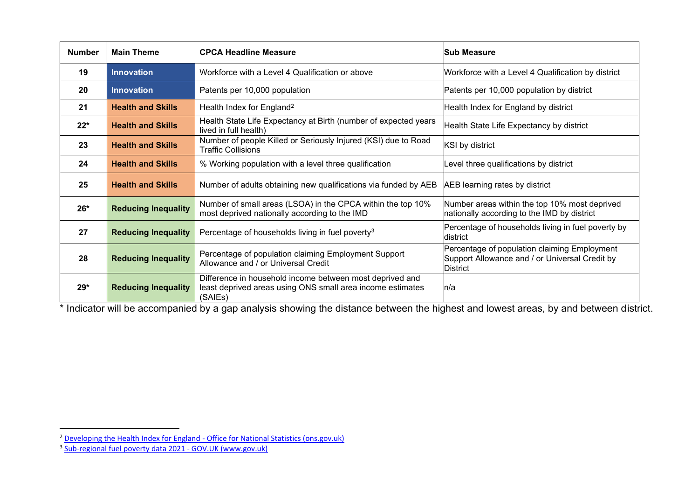| <b>Number</b> | <b>Main Theme</b>                                                                                                                          | <b>CPCA Headline Measure</b>                                                                                                         | <b>Sub Measure</b>                                                                                                |  |
|---------------|--------------------------------------------------------------------------------------------------------------------------------------------|--------------------------------------------------------------------------------------------------------------------------------------|-------------------------------------------------------------------------------------------------------------------|--|
| 19            | <b>Innovation</b><br>Workforce with a Level 4 Qualification or above                                                                       |                                                                                                                                      | Workforce with a Level 4 Qualification by district                                                                |  |
| 20            | <b>Innovation</b>                                                                                                                          | Patents per 10,000 population                                                                                                        | Patents per 10,000 population by district                                                                         |  |
| 21            | <b>Health and Skills</b>                                                                                                                   | Health Index for England <sup>2</sup>                                                                                                | Health Index for England by district                                                                              |  |
| $22*$         | <b>Health and Skills</b>                                                                                                                   | Health State Life Expectancy at Birth (number of expected years<br>Health State Life Expectancy by district<br>lived in full health) |                                                                                                                   |  |
| 23            | <b>Health and Skills</b>                                                                                                                   | Number of people Killed or Seriously Injured (KSI) due to Road<br><b>Traffic Collisions</b>                                          | KSI by district                                                                                                   |  |
| 24            | <b>Health and Skills</b>                                                                                                                   | % Working population with a level three qualification                                                                                | Level three qualifications by district                                                                            |  |
| 25            | <b>Health and Skills</b>                                                                                                                   | Number of adults obtaining new qualifications via funded by AEB                                                                      | AEB learning rates by district                                                                                    |  |
| $26*$         | Number of small areas (LSOA) in the CPCA within the top 10%<br><b>Reducing Inequality</b><br>most deprived nationally according to the IMD |                                                                                                                                      | Number areas within the top 10% most deprived<br>nationally according to the IMD by district                      |  |
| 27            | <b>Reducing Inequality</b>                                                                                                                 | Percentage of households living in fuel poverty <sup>3</sup>                                                                         | Percentage of households living in fuel poverty by<br>ldistrict                                                   |  |
| 28            | <b>Reducing Inequality</b>                                                                                                                 | Percentage of population claiming Employment Support<br>Allowance and / or Universal Credit                                          | Percentage of population claiming Employment<br>Support Allowance and / or Universal Credit by<br><b>District</b> |  |
| $29*$         | <b>Reducing Inequality</b>                                                                                                                 | Difference in household income between most deprived and<br>least deprived areas using ONS small area income estimates<br>(SAIEs)    | ln/a                                                                                                              |  |

\* Indicator will be accompanied by a gap analysis showing the distance between the highest and lowest areas, by and between district.

<sup>&</sup>lt;sup>2</sup> [Developing the Health Index for England - Office for National Statistics \(ons.gov.uk\)](https://www.ons.gov.uk/peoplepopulationandcommunity/healthandsocialcare/healthandwellbeing/articles/developingthehealthindexforengland/2015to2018)

<sup>&</sup>lt;sup>3</sup> [Sub-regional fuel poverty data 2021 - GOV.UK \(www.gov.uk\)](https://www.gov.uk/government/statistics/sub-regional-fuel-poverty-data-2021)